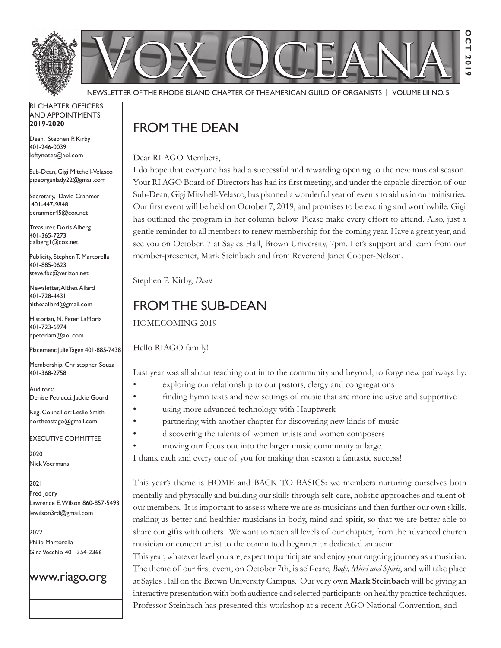

Newsletter of the Rhode Island Chapter of the American Guild of OrganistS | Volume LII No. 5

#### RI Chapter Officers and Appointments **2019-2020**

Dean, Stephen P. Kirby 401-246-0039 loftynotes@aol.com

Sub-Dean, Gigi Mitchell-Velasco pipeorganlady22@gmail.com

Secretary, David Cranmer 401-447-9848 dcranmer45@cox.net

Treasurer, Doris Alberg 401-365-7273 dalberg1@cox.net I

Publicity, Stephen T. Martorella 401-885-0623 steve.fbc@verizon.net

Newsletter, Althea Allard 401-728-4431 altheaallard@gmail.com

Historian, N. Peter LaMoria 401-723-6974 npeterlam@aol.com

Placement: Julie Tagen 401-885-7438

Membership: Christopher Souza 401-368-2758

Auditors: Denise Petrucci, Jackie Gourd

Reg. Councillor: Leslie Smith northeastago@gmail.com

Executive Committee

2020 Nick Voermans

2021 Fred Jodry Lawrence E. Wilson 860-857-5493 lewilson3rd@gmail.com

2022 Philip Martorella Gina Vecchio 401-354-2366

## www.riago.org

# FROM THE DEAN

Dear RI AGO Members,

I do hope that everyone has had a successful and rewarding opening to the new musical season. Your RI AGO Board of Directors has had its first meeting, and under the capable direction of our Sub-Dean, Gigi Mitvhell-Velasco, has planned a wonderful year of events to aid us in our ministries. Our first event will be held on October 7, 2019, and promises to be exciting and worthwhile. Gigi has outlined the program in her column below. Please make every effort to attend. Also, just a gentle reminder to all members to renew membership for the coming year. Have a great year, and see you on October. 7 at Sayles Hall, Brown University, 7pm. Let's support and learn from our member-presenter, Mark Steinbach and from Reverend Janet Cooper-Nelson.

Stephen P. Kirby, *Dean*

## From the Sub-Dean

HOMECOMING 2019

Hello RIAGO family!

Last year was all about reaching out in to the community and beyond, to forge new pathways by:

- exploring our relationship to our pastors, clergy and congregations
- finding hymn texts and new settings of music that are more inclusive and supportive
- using more advanced technology with Hauptwerk
- partnering with another chapter for discovering new kinds of music
- discovering the talents of women artists and women composers
- moving our focus out into the larger music community at large.

I thank each and every one of you for making that season a fantastic success!

This year's theme is HOME and BACK TO BASICS: we members nurturing ourselves both mentally and physically and building our skills through self-care, holistic approaches and talent of our members. It is important to assess where we are as musicians and then further our own skills, making us better and healthier musicians in body, mind and spirit, so that we are better able to share our gifts with others. We want to reach all levels of our chapter, from the advanced church musician or concert artist to the committed beginner or dedicated amateur.

This year, whatever level you are, expect to participate and enjoy your ongoing journey as a musician. The theme of our first event, on October 7th, is self-care, *Body, Mind and Spirit*, and will take place at Sayles Hall on the Brown University Campus. Our very own **Mark Steinbach** will be giving an interactive presentation with both audience and selected participants on healthy practice techniques. Professor Steinbach has presented this workshop at a recent AGO National Convention, and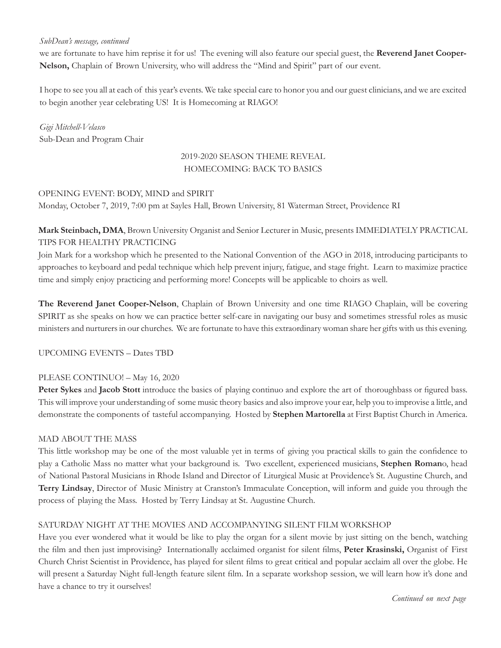#### *SubDean's message, continued*

we are fortunate to have him reprise it for us! The evening will also feature our special guest, the **Reverend Janet Cooper-Nelson,** Chaplain of Brown University, who will address the "Mind and Spirit" part of our event.

I hope to see you all at each of this year's events. We take special care to honor you and our guest clinicians, and we are excited to begin another year celebrating US! It is Homecoming at RIAGO!

*Gigi Mitchell-Velasco* Sub-Dean and Program Chair

### 2019-2020 SEASON THEME REVEAL HOMECOMING: BACK TO BASICS

#### OPENING EVENT: BODY, MIND and SPIRIT

Monday, October 7, 2019, 7:00 pm at Sayles Hall, Brown University, 81 Waterman Street, Providence RI

## **Mark Steinbach, DMA**, Brown University Organist and Senior Lecturer in Music, presents IMMEDIATELY PRACTICAL TIPS FOR HEALTHY PRACTICING

Join Mark for a workshop which he presented to the National Convention of the AGO in 2018, introducing participants to approaches to keyboard and pedal technique which help prevent injury, fatigue, and stage fright. Learn to maximize practice time and simply enjoy practicing and performing more! Concepts will be applicable to choirs as well.

**The Reverend Janet Cooper-Nelson**, Chaplain of Brown University and one time RIAGO Chaplain, will be covering SPIRIT as she speaks on how we can practice better self-care in navigating our busy and sometimes stressful roles as music ministers and nurturers in our churches. We are fortunate to have this extraordinary woman share her gifts with us this evening.

UPCOMING EVENTS – Dates TBD

#### PLEASE CONTINUO! - May 16, 2020

**Peter Sykes** and **Jacob Stott** introduce the basics of playing continuo and explore the art of thoroughbass or figured bass. This will improve your understanding of some music theory basics and also improve your ear, help you to improvise a little, and demonstrate the components of tasteful accompanying. Hosted by **Stephen Martorella** at First Baptist Church in America.

#### MAD ABOUT THE MASS

This little workshop may be one of the most valuable yet in terms of giving you practical skills to gain the confidence to play a Catholic Mass no matter what your background is. Two excellent, experienced musicians, **Stephen Roman**o, head of National Pastoral Musicians in Rhode Island and Director of Liturgical Music at Providence's St. Augustine Church, and **Terry Lindsay**, Director of Music Ministry at Cranston's Immaculate Conception, will inform and guide you through the process of playing the Mass. Hosted by Terry Lindsay at St. Augustine Church.

#### SATURDAY NIGHT AT THE MOVIES AND ACCOMPANYING SILENT FILM WORKSHOP

Have you ever wondered what it would be like to play the organ for a silent movie by just sitting on the bench, watching the film and then just improvising? Internationally acclaimed organist for silent films, **Peter Krasinski,** Organist of First Church Christ Scientist in Providence, has played for silent films to great critical and popular acclaim all over the globe. He will present a Saturday Night full-length feature silent film. In a separate workshop session, we will learn how it's done and have a chance to try it ourselves!